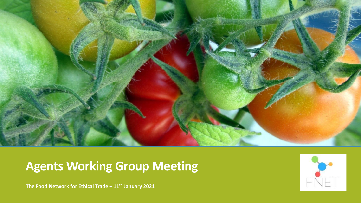

# **Agents Working Group Meeting**

 $\epsilon$ 

**The Food Network for Ethical Trade – 11th January 2021**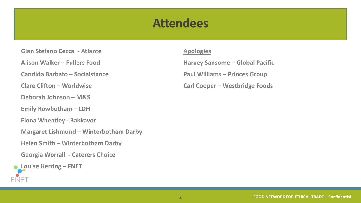## **Attendees**

**Gian Stefano Cecca - Atlante**

**Alison Walker – Fullers Food**

**Candida Barbato – Socialstance**

**Clare Clifton – Worldwise**

**Deborah Johnson – M&S**

**Emily Rowbotham – LDH**

**Fiona Wheatley - Bakkavor**

**Margaret Lishmund – Winterbotham Darby**

**Helen Smith – Winterbotham Darby**

**Georgia Worrall - Caterers Choice**



### **Apologies**

**Harvey Sansome – Global Pacific Paul Williams – Princes Group Carl Cooper – Westbridge Foods**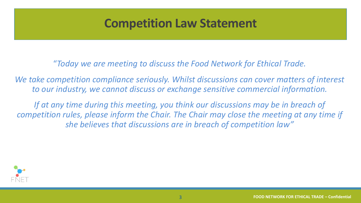## **Competition Law Statement**

"*Today we are meeting to discuss the Food Network for Ethical Trade.* 

We take competition compliance seriously. Whilst discussions can cover matters of interest *to our industry, we cannot discuss or exchange sensitive commercial information.* 

*If at any time during this meeting, you think our discussions may be in breach of competition rules, please inform the Chair. The Chair may close the meeting at any time if she believes that discussions are in breach of competition law"* 

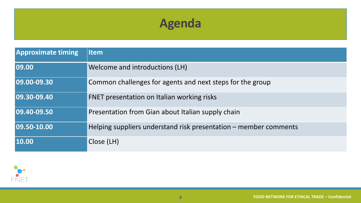# **Agenda**

| <b>Approximate timing</b> | <b>Item</b>                                                      |
|---------------------------|------------------------------------------------------------------|
| 09.00                     | Welcome and introductions (LH)                                   |
| 09.00-09.30               | Common challenges for agents and next steps for the group        |
| 09.30-09.40               | FNET presentation on Italian working risks                       |
| 09.40-09.50               | Presentation from Gian about Italian supply chain                |
| 09.50-10.00               | Helping suppliers understand risk presentation – member comments |
| 10.00                     | Close (LH)                                                       |

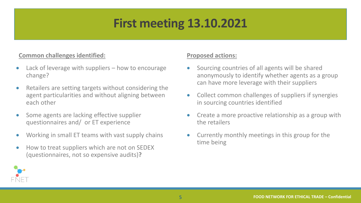# **First meeting 13.10.2021**

### **Common challenges identified:**

- Lack of leverage with suppliers  $-$  how to encourage change?
- Retailers are setting targets without considering the agent particularities and without aligning between each other
- Some agents are lacking effective supplier questionnaires and/ or ET experience
- Working in small ET teams with vast supply chains
- How to treat suppliers which are not on SEDEX (questionnaires, not so expensive audits)**?**

### **Proposed actions:**

- Sourcing countries of all agents will be shared anonymously to identify whether agents as a group can have more leverage with their suppliers
- Collect common challenges of suppliers if synergies in sourcing countries identified
- Create a more proactive relationship as a group with the retailers
- Currently monthly meetings in this group for the time being

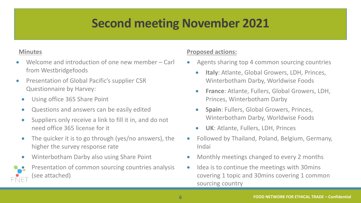# **Second meeting November 2021**

### **Minutes**

- Welcome and introduction of one new member Carl from Westbridgefoods
- Presentation of Global Pacific's supplier CSR Questionnaire by Harvey:
	- Using office 365 Share Point
	- Questions and answers can be easily edited
	- Suppliers only receive a link to fill it in, and do not need office 365 license for it
	- The quicker it is to go through (yes/no answers), the higher the survey response rate
	- Winterbotham Darby also using Share Point



### **Proposed actions:**

- Agents sharing top 4 common sourcing countries
	- **Italy**: Atlante, Global Growers, LDH, Princes, Winterbotham Darby, Worldwise Foods
	- **France**: Atlante, Fullers, Global Growers, LDH, Princes, Winterbotham Darby
	- **Spain**: Fullers, Global Growers, Princes, Winterbotham Darby, Worldwise Foods
	- **UK**: Atlante, Fullers, LDH, Princes
- Followed by Thailand, Poland, Belgium, Germany, Indai
- Monthly meetings changed to every 2 months
- Idea is to continue the meetings with 30 mins covering 1 topic and 30mins covering 1 common sourcing country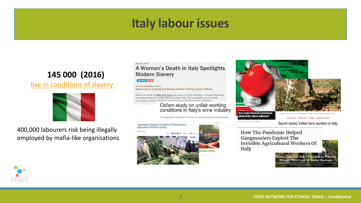## **Italy labour issues**

### **145 000 (2016)**

live in conditions of slavery



400,000 labourers risk being illegally employed by mafia-like organisations

#### April 26, 2017

#### A Woman's Death in Italy Spotlights **Modern Slavery**

V Tweet 3 Share

RELATED CAMPAIGNS & TOPICS Bankrupt Slavery: Dismantling the Business of Human Trafficking, Human Trafficking

Earlier this month the New York Times ran a story on Paola Clemente, a 49-year-old woman who died working in the grape fields of southern Italy. The investigation into her death uncovered a complex network of human trafficking and forced labor exploitation

### Oxfam study on unfair working<br>conditions in Italy's wine industry

The organisation interviewed 79 workers on behalf of Swedens Systembolaget.





Are your tinned tomatoes<br>picked by slave labour?

EXPLOITATION | AGRICULTURE | FARMING | MIGRANT WORKERS

Secret slaves: Indian farm workers in Italy

**How The Pandemic Helped Gangmasters Exploit The Invisible Agricultural Workers Of** Italy



Robots Take Over Italy's Vineyards as Winerie **Struggle With Covid-19 Worker Shortages** 

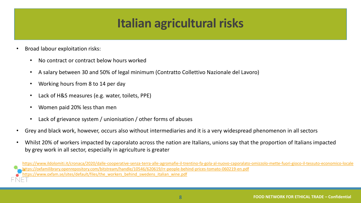# **Italian agricultural risks**

- Broad labour exploitation risks:
	- No contract or contract below hours worked
	- A salary between 30 and 50% of legal minimum (Contratto Collettivo Nazionale del Lavoro)
	- Working hours from 8 to 14 per day
	- Lack of H&S measures (e.g. water, toilets, PPE)
	- Women paid 20% less than men
	- Lack of grievance system / unionisation / other forms of abuses
- Grey and black work, however, occurs also without intermediaries and it is a very widespread phenomenon in all sectors
- Whilst 20% of workers impacted by caporalato across the nation are Italians, unions say that the proportion of Italians impacted by grey work in all sector, especially in agriculture is greater

<https://www.ildolomiti.it/cronaca/2020/dalle-cooperative-senza-terra-alle-agromafie-il-trentino-fa-gola-al-nuovo-caporalato-omizzolo-mette-fuori-gioco-il-tessuto-economico-locale> //oxfamilibrary.openrepository.com/bitstream/handle/10546/620619/rr-people-behind-prices-tomato-060219-en.pdf :ps://www.oxfam.se/sites/default/files/the\_workers\_behind\_swedens\_italian\_wine.pdf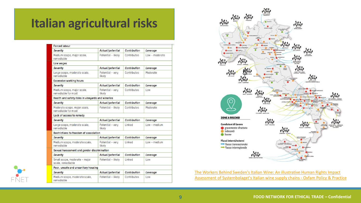## **Italian agricultural risks**

| <b>Forced labour</b>                                |                            |                    |                  |  |
|-----------------------------------------------------|----------------------------|--------------------|------------------|--|
| Severity                                            | Actual/potential           | Contribution       | Leverage         |  |
| Medium scope, major scale,<br>remediable            | Potential - likely         | Contributes        | $low$ - moderate |  |
| Low wages                                           |                            |                    |                  |  |
| Severity                                            | Actual/potential           | Contribution       | Leverage         |  |
| Large scope, moderate scale,<br>remediable          | Potential - very<br>likely | <b>Contributes</b> | Moderate         |  |
| <b>Excessive working hours</b>                      |                            |                    |                  |  |
| Severity                                            | Actual/potential           | Contribution       | Leverage         |  |
| Medium scope, major scale,<br>remediable for most   | Potential - very<br>likely | Contributes        | Low              |  |
| Health and safety risks in vineyards and wineries   |                            |                    |                  |  |
| Severity                                            | Actual/potential           | Contribution       | Leverage         |  |
| Moderate scope, major scale,<br>remediable for most | Potential - likely         | Contributes        | Moderate         |  |
| Lack of access to remedy                            |                            |                    |                  |  |
| Severity                                            | Actual/potential           | Contribution       | Leverage         |  |
| Large scope, moderate scale,<br>remediable          | Potential - very<br>likely | Linked             | $low - medium$   |  |
| Restrictions to freedom of association              |                            |                    |                  |  |
| Severity                                            | Actual/potential           | Contribution       | Leverage         |  |
| Medium scope, moderate scale,<br>remediable         | Potential - very<br>likely | Linked             | $Low - medium$   |  |
| Sexual harassment and gender discrimination         |                            |                    |                  |  |
| Severity                                            | Actual/potential           | Contribution       | Leverage         |  |
| Small scope, moderate - major<br>scale, remediable  | Potential - likely         | Linked             | Low              |  |
| Poor, unsafe and unsanitary housing                 |                            |                    |                  |  |
| Severity                                            | Actual/potential           | Contribution       | Leverage         |  |
| Medium scope, moderate scale,<br>remediable         | Potential - likely         | Contributes        | Low              |  |



[The Workers Behind Sweden's Italian Wine: An illustrative Human Rights Impact](https://policy-practice.oxfam.org/resources/the-workers-behind-swedens-italian-wine-an-illustrative-human-rights-impact-ass-621266/)  Assessment of Systembolaget's Italian wine supply chains - Oxfam Policy & Practice

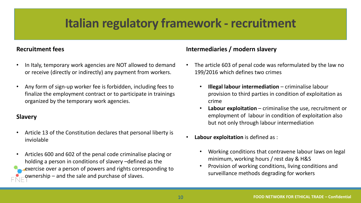## **Italian regulatory framework - recruitment**

### **Recruitment fees**

- In Italy, temporary work agencies are NOT allowed to demand or receive (directly or indirectly) any payment from workers.
- Any form of sign-up worker fee is forbidden, including fees to finalize the employment contract or to participate in trainings organized by the temporary work agencies.

### **Slavery**

- Article 13 of the Constitution declares that personal liberty is inviolable
- Articles 600 and 602 of the penal code criminalise placing or holding a person in conditions of slavery –defined as the exercise over a person of powers and rights corresponding to ownership – and the sale and purchase of slaves.

### **Intermediaries / modern slavery**

- The article 603 of penal code was reformulated by the law no 199/2016 which defines two crimes
	- **Illegal labour intermediation**  criminalise labour provision to third parties in condition of exploitation as crime
	- **Labour exploitation**  criminalise the use, recruitment or employment of labour in condition of exploitation also but not only through labour intermediation
- **Labour exploitation** is defined as :
	- Working conditions that contravene labour laws on legal minimum, working hours / rest day & H&S
	- Provision of working conditions, living conditions and surveillance methods degrading for workers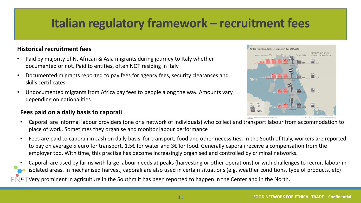# **Italian regulatory framework – recruitment fees**

### **Historical recruitment fees**

- Paid by majority of N. African & Asia migrants during journey to Italy whether documented or not. Paid to entities, often NOT residing in Italy
- Documented migrants reported to pay fees for agency fees, security clearances and skills certificates
- Undocumented migrants from Africa pay fees to people along the way. Amounts vary depending on nationalities

### **Fees paid on a daily basis to caporali**



- Caporali are informal labour providers (one or a network of individuals) who collect and transport labour from accommodation to place of work. Sometimes they organise and monitor labour performance
- Fees are paid to caporali in cash on daily basis for transport, food and other necessities. In the South of Italy, workers are reported to pay on average 5 euro for transport, 1,5€ for water and 3€ for food. Generally caporali receive a compensation from the employer too. With time, this practise has become increasingly organised and controlled by criminal networks.
- Caporali are used by farms with large labour needs at peaks (harvesting or other operations) or with challenges to recruit labour in isolated areas. In mechanised harvest, caporali are also used in certain situations (e.g. weather conditions, type of products, etc)
- Very prominent in agriculture in the Southm it has been reported to happen in the Center and in the North.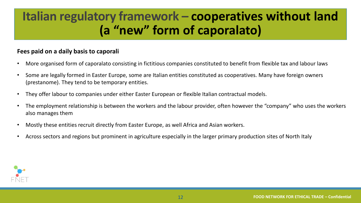## **Italian regulatory framework – cooperatives without land (a "new" form of caporalato)**

### **Fees paid on a daily basis to caporali**

- More organised form of caporalato consisting in fictitious companies constituted to benefit from flexible tax and labour laws
- Some are legally formed in Easter Europe, some are Italian entities constituted as cooperatives. Many have foreign owners (prestanome). They tend to be temporary entities.
- They offer labour to companies under either Easter European or flexible Italian contractual models.
- The employment relationship is between the workers and the labour provider, often however the "company" who uses the workers also manages them
- Mostly these entities recruit directly from Easter Europe, as well Africa and Asian workers.
- Across sectors and regions but prominent in agriculture especially in the larger primary production sites of North Italy

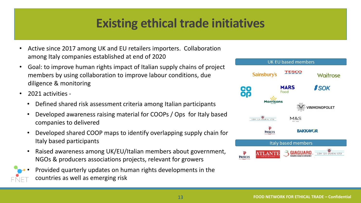# **Existing ethical trade initiatives**

- Active since 2017 among UK and EU retailers importers. Collaboration among Italy companies established at end of 2020
- Goal: to improve human rights impact of Italian supply chains of project members by using collaboration to improve labour conditions, due diligence & monitoring
- 2021 activities
	- Defined shared risk assessment criteria among Italian participants
	- Developed awareness raising material for COOPs / Ops for Italy based companies to delivered
	- Developed shared COOP maps to identify overlapping supply chain for Italy based participants
	- Raised awareness among UK/EU/Italian members about government, NGOs & producers associations projects, relevant for growers
	- Provided quarterly updates on human rights developments in the countries as well as emerging risk